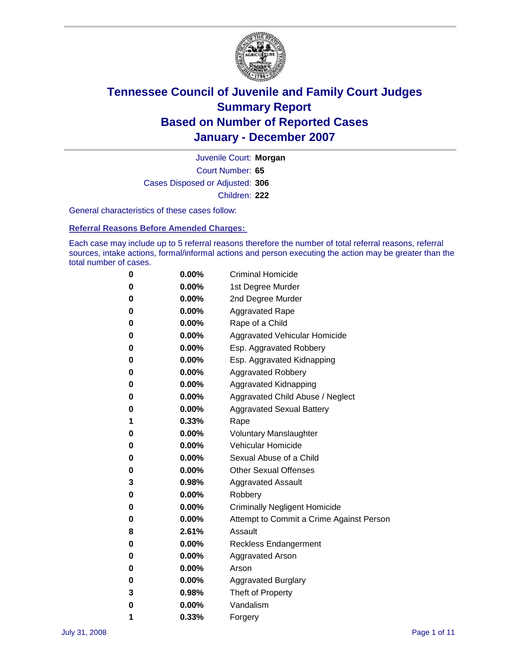

Court Number: **65** Juvenile Court: **Morgan** Cases Disposed or Adjusted: **306** Children: **222**

General characteristics of these cases follow:

**Referral Reasons Before Amended Charges:** 

Each case may include up to 5 referral reasons therefore the number of total referral reasons, referral sources, intake actions, formal/informal actions and person executing the action may be greater than the total number of cases.

| 0 | $0.00\%$ | <b>Criminal Homicide</b>                 |
|---|----------|------------------------------------------|
| 0 | 0.00%    | 1st Degree Murder                        |
| 0 | $0.00\%$ | 2nd Degree Murder                        |
| 0 | $0.00\%$ | <b>Aggravated Rape</b>                   |
| 0 | $0.00\%$ | Rape of a Child                          |
| 0 | 0.00%    | Aggravated Vehicular Homicide            |
| 0 | $0.00\%$ | Esp. Aggravated Robbery                  |
| 0 | $0.00\%$ | Esp. Aggravated Kidnapping               |
| 0 | $0.00\%$ | <b>Aggravated Robbery</b>                |
| 0 | $0.00\%$ | Aggravated Kidnapping                    |
| 0 | $0.00\%$ | Aggravated Child Abuse / Neglect         |
| 0 | $0.00\%$ | <b>Aggravated Sexual Battery</b>         |
| 1 | 0.33%    | Rape                                     |
| 0 | $0.00\%$ | <b>Voluntary Manslaughter</b>            |
| 0 | $0.00\%$ | Vehicular Homicide                       |
| 0 | 0.00%    | Sexual Abuse of a Child                  |
| 0 | $0.00\%$ | <b>Other Sexual Offenses</b>             |
| 3 | 0.98%    | <b>Aggravated Assault</b>                |
| 0 | 0.00%    | Robbery                                  |
| 0 | $0.00\%$ | <b>Criminally Negligent Homicide</b>     |
| 0 | $0.00\%$ | Attempt to Commit a Crime Against Person |
| 8 | 2.61%    | Assault                                  |
| 0 | $0.00\%$ | <b>Reckless Endangerment</b>             |
| 0 | 0.00%    | <b>Aggravated Arson</b>                  |
| 0 | $0.00\%$ | Arson                                    |
| 0 | $0.00\%$ | <b>Aggravated Burglary</b>               |
| 3 | 0.98%    | Theft of Property                        |
| 0 | $0.00\%$ | Vandalism                                |
| 1 | 0.33%    | Forgery                                  |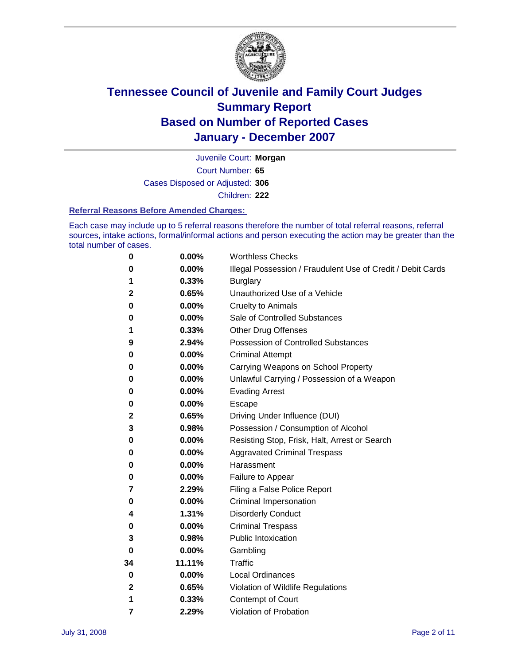

Court Number: **65** Juvenile Court: **Morgan** Cases Disposed or Adjusted: **306** Children: **222**

#### **Referral Reasons Before Amended Charges:**

Each case may include up to 5 referral reasons therefore the number of total referral reasons, referral sources, intake actions, formal/informal actions and person executing the action may be greater than the total number of cases.

| 0  | 0.00%    | <b>Worthless Checks</b>                                     |
|----|----------|-------------------------------------------------------------|
| 0  | 0.00%    | Illegal Possession / Fraudulent Use of Credit / Debit Cards |
| 1  | 0.33%    | <b>Burglary</b>                                             |
| 2  | 0.65%    | Unauthorized Use of a Vehicle                               |
| 0  | 0.00%    | <b>Cruelty to Animals</b>                                   |
| 0  | 0.00%    | Sale of Controlled Substances                               |
| 1  | 0.33%    | <b>Other Drug Offenses</b>                                  |
| 9  | 2.94%    | Possession of Controlled Substances                         |
| 0  | 0.00%    | <b>Criminal Attempt</b>                                     |
| 0  | 0.00%    | Carrying Weapons on School Property                         |
| 0  | 0.00%    | Unlawful Carrying / Possession of a Weapon                  |
| 0  | 0.00%    | <b>Evading Arrest</b>                                       |
| 0  | 0.00%    | Escape                                                      |
| 2  | 0.65%    | Driving Under Influence (DUI)                               |
| 3  | 0.98%    | Possession / Consumption of Alcohol                         |
| 0  | 0.00%    | Resisting Stop, Frisk, Halt, Arrest or Search               |
| 0  | 0.00%    | <b>Aggravated Criminal Trespass</b>                         |
| 0  | 0.00%    | Harassment                                                  |
| 0  | 0.00%    | Failure to Appear                                           |
| 7  | 2.29%    | Filing a False Police Report                                |
| 0  | $0.00\%$ | Criminal Impersonation                                      |
| 4  | 1.31%    | <b>Disorderly Conduct</b>                                   |
| 0  | 0.00%    | <b>Criminal Trespass</b>                                    |
| 3  | 0.98%    | <b>Public Intoxication</b>                                  |
| 0  | 0.00%    | Gambling                                                    |
| 34 | 11.11%   | Traffic                                                     |
| 0  | 0.00%    | Local Ordinances                                            |
| 2  | 0.65%    | Violation of Wildlife Regulations                           |
| 1  | 0.33%    | Contempt of Court                                           |
| 7  | 2.29%    | Violation of Probation                                      |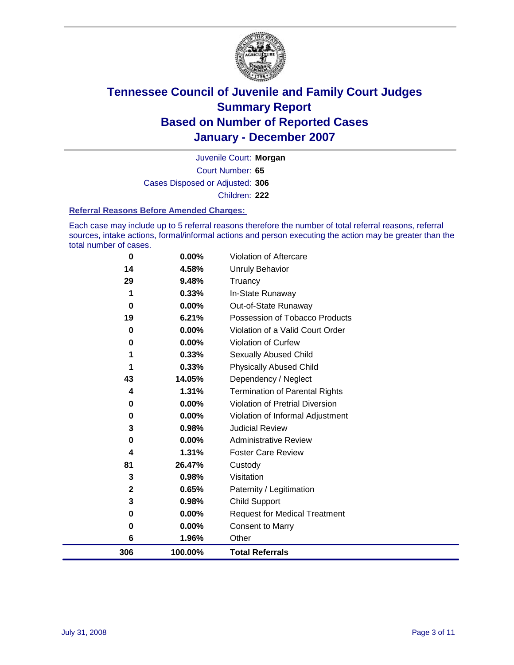

Court Number: **65** Juvenile Court: **Morgan** Cases Disposed or Adjusted: **306** Children: **222**

#### **Referral Reasons Before Amended Charges:**

Each case may include up to 5 referral reasons therefore the number of total referral reasons, referral sources, intake actions, formal/informal actions and person executing the action may be greater than the total number of cases.

| 306         | 100.00%  | <b>Total Referrals</b>                 |
|-------------|----------|----------------------------------------|
| 6           | 1.96%    | Other                                  |
| 0           | 0.00%    | <b>Consent to Marry</b>                |
| 0           | 0.00%    | <b>Request for Medical Treatment</b>   |
| 3           | 0.98%    | <b>Child Support</b>                   |
| $\mathbf 2$ | 0.65%    | Paternity / Legitimation               |
| 3           | 0.98%    | Visitation                             |
| 81          | 26.47%   | Custody                                |
| 4           | 1.31%    | <b>Foster Care Review</b>              |
| 0           | $0.00\%$ | <b>Administrative Review</b>           |
| 3           | 0.98%    | <b>Judicial Review</b>                 |
| 0           | $0.00\%$ | Violation of Informal Adjustment       |
| 0           | $0.00\%$ | <b>Violation of Pretrial Diversion</b> |
| 4           | 1.31%    | <b>Termination of Parental Rights</b>  |
| 43          | 14.05%   | Dependency / Neglect                   |
|             | 0.33%    | <b>Physically Abused Child</b>         |
|             | 0.33%    | <b>Sexually Abused Child</b>           |
| 0           | $0.00\%$ | <b>Violation of Curfew</b>             |
| 0           | 0.00%    | Violation of a Valid Court Order       |
| 19          | 6.21%    | Possession of Tobacco Products         |
| 0           | $0.00\%$ | Out-of-State Runaway                   |
|             | 0.33%    | In-State Runaway                       |
| 29          | 9.48%    | Unruly Behavior<br>Truancy             |
| 14          | 4.58%    |                                        |
| $\bf{0}$    | 0.00%    | Violation of Aftercare                 |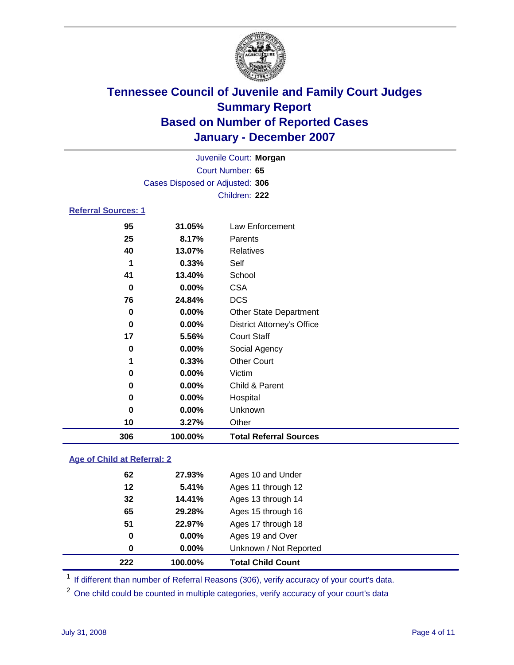

|                            | Juvenile Court: Morgan          |                                   |  |  |
|----------------------------|---------------------------------|-----------------------------------|--|--|
| Court Number: 65           |                                 |                                   |  |  |
|                            | Cases Disposed or Adjusted: 306 |                                   |  |  |
|                            |                                 | Children: 222                     |  |  |
| <b>Referral Sources: 1</b> |                                 |                                   |  |  |
| 95                         | 31.05%                          | Law Enforcement                   |  |  |
| 25                         | 8.17%                           | Parents                           |  |  |
| 40                         | 13.07%                          | <b>Relatives</b>                  |  |  |
| 1                          | 0.33%                           | Self                              |  |  |
| 41                         | 13.40%                          | School                            |  |  |
| $\bf{0}$                   | 0.00%                           | <b>CSA</b>                        |  |  |
| 76                         | 24.84%                          | <b>DCS</b>                        |  |  |
| 0                          | 0.00%                           | <b>Other State Department</b>     |  |  |
| 0                          | 0.00%                           | <b>District Attorney's Office</b> |  |  |
| 17                         | 5.56%                           | <b>Court Staff</b>                |  |  |
| 0                          | 0.00%                           | Social Agency                     |  |  |
| 1                          | 0.33%                           | <b>Other Court</b>                |  |  |
| 0                          | 0.00%                           | Victim                            |  |  |
| $\bf{0}$                   | 0.00%                           | Child & Parent                    |  |  |
| 0                          | 0.00%                           | Hospital                          |  |  |
| 0                          | 0.00%                           | Unknown                           |  |  |
| 10                         | 3.27%                           | Other                             |  |  |
| 306                        | 100.00%                         | <b>Total Referral Sources</b>     |  |  |

### **Age of Child at Referral: 2**

| 222<br>100.00% | <b>Total Child Count</b> |
|----------------|--------------------------|
| $0.00\%$<br>0  | Unknown / Not Reported   |
| $0.00\%$<br>0  | Ages 19 and Over         |
| 51<br>22.97%   | Ages 17 through 18       |
| 65<br>29.28%   | Ages 15 through 16       |
| 32<br>14.41%   | Ages 13 through 14       |
| 12<br>5.41%    | Ages 11 through 12       |
| 62<br>27.93%   | Ages 10 and Under        |
|                |                          |

<sup>1</sup> If different than number of Referral Reasons (306), verify accuracy of your court's data.

One child could be counted in multiple categories, verify accuracy of your court's data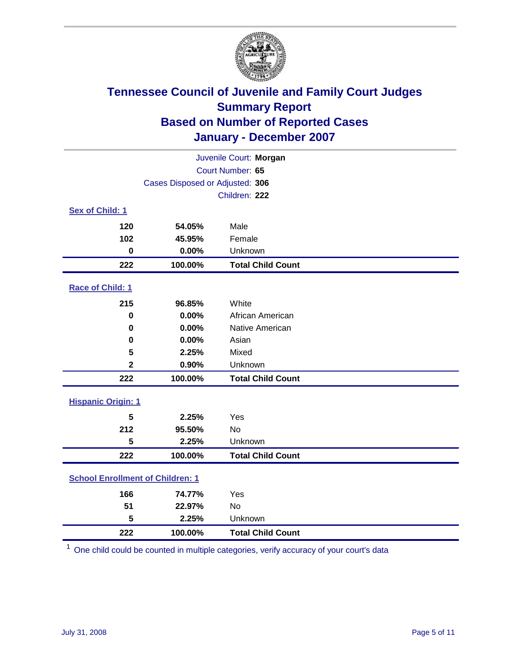

| Juvenile Court: Morgan                  |                                 |                          |  |  |  |
|-----------------------------------------|---------------------------------|--------------------------|--|--|--|
| Court Number: 65                        |                                 |                          |  |  |  |
|                                         | Cases Disposed or Adjusted: 306 |                          |  |  |  |
|                                         |                                 | Children: 222            |  |  |  |
| Sex of Child: 1                         |                                 |                          |  |  |  |
| 120                                     | 54.05%                          | Male                     |  |  |  |
| 102                                     | 45.95%                          | Female                   |  |  |  |
| $\mathbf 0$                             | 0.00%                           | Unknown                  |  |  |  |
| 222                                     | 100.00%                         | <b>Total Child Count</b> |  |  |  |
| Race of Child: 1                        |                                 |                          |  |  |  |
| 215                                     | 96.85%                          | White                    |  |  |  |
| $\bf{0}$                                | 0.00%                           | African American         |  |  |  |
| 0                                       | 0.00%                           | Native American          |  |  |  |
| 0                                       | 0.00%                           | Asian                    |  |  |  |
| 5                                       | 2.25%                           | Mixed                    |  |  |  |
| $\mathbf 2$                             | 0.90%                           | Unknown                  |  |  |  |
| 222                                     | 100.00%                         | <b>Total Child Count</b> |  |  |  |
| <b>Hispanic Origin: 1</b>               |                                 |                          |  |  |  |
| 5                                       | 2.25%                           | Yes                      |  |  |  |
| 212                                     | 95.50%                          | <b>No</b>                |  |  |  |
| 5                                       | 2.25%                           | Unknown                  |  |  |  |
| 222                                     | 100.00%                         | <b>Total Child Count</b> |  |  |  |
| <b>School Enrollment of Children: 1</b> |                                 |                          |  |  |  |
| 166                                     | 74.77%                          | Yes                      |  |  |  |
| 51                                      | 22.97%                          | No                       |  |  |  |
| 5                                       | 2.25%                           | Unknown                  |  |  |  |
| 222                                     | 100.00%                         | <b>Total Child Count</b> |  |  |  |

One child could be counted in multiple categories, verify accuracy of your court's data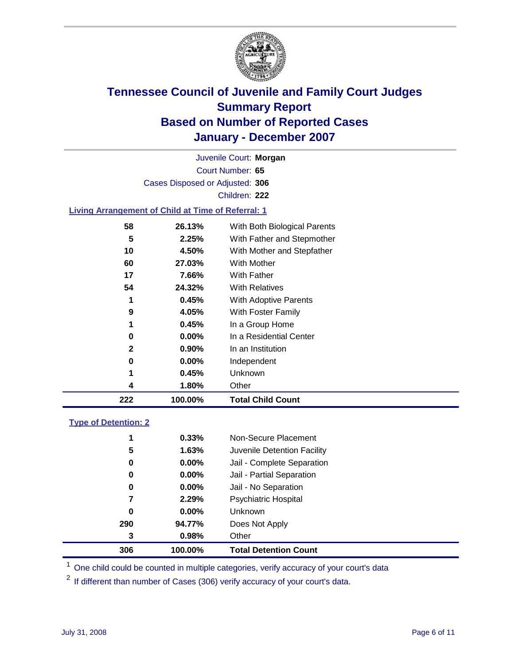

Court Number: **65** Juvenile Court: **Morgan** Cases Disposed or Adjusted: **306** Children: **222**

### **Living Arrangement of Child at Time of Referral: 1**

| 222          | 100.00%  | <b>Total Child Count</b>     |
|--------------|----------|------------------------------|
| 4            | 1.80%    | Other                        |
| 1            | 0.45%    | Unknown                      |
| 0            | $0.00\%$ | Independent                  |
| $\mathbf{2}$ | 0.90%    | In an Institution            |
| 0            | $0.00\%$ | In a Residential Center      |
| 1            | 0.45%    | In a Group Home              |
| 9            | 4.05%    | With Foster Family           |
| 1            | 0.45%    | With Adoptive Parents        |
| 54           | 24.32%   | <b>With Relatives</b>        |
| 17           | 7.66%    | <b>With Father</b>           |
| 60           | 27.03%   | With Mother                  |
| 10           | 4.50%    | With Mother and Stepfather   |
| 5            | 2.25%    | With Father and Stepmother   |
| 58           | 26.13%   | With Both Biological Parents |
|              |          |                              |

#### **Type of Detention: 2**

| 306 | 100.00%  | <b>Total Detention Count</b> |  |
|-----|----------|------------------------------|--|
| 3   | 0.98%    | Other                        |  |
| 290 | 94.77%   | Does Not Apply               |  |
| 0   | $0.00\%$ | <b>Unknown</b>               |  |
| 7   | 2.29%    | Psychiatric Hospital         |  |
| 0   | $0.00\%$ | Jail - No Separation         |  |
| 0   | $0.00\%$ | Jail - Partial Separation    |  |
| 0   | $0.00\%$ | Jail - Complete Separation   |  |
| 5   | 1.63%    | Juvenile Detention Facility  |  |
| 1   | 0.33%    | Non-Secure Placement         |  |
|     |          |                              |  |

<sup>1</sup> One child could be counted in multiple categories, verify accuracy of your court's data

<sup>2</sup> If different than number of Cases (306) verify accuracy of your court's data.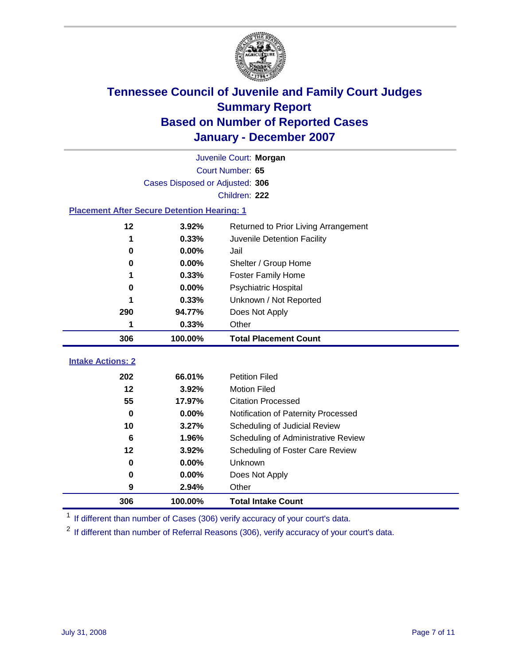

|                                                    | Juvenile Court: Morgan          |                                      |  |  |  |
|----------------------------------------------------|---------------------------------|--------------------------------------|--|--|--|
|                                                    | Court Number: 65                |                                      |  |  |  |
|                                                    | Cases Disposed or Adjusted: 306 |                                      |  |  |  |
|                                                    |                                 | Children: 222                        |  |  |  |
| <b>Placement After Secure Detention Hearing: 1</b> |                                 |                                      |  |  |  |
| 12                                                 | 3.92%                           | Returned to Prior Living Arrangement |  |  |  |
| 1                                                  | 0.33%                           | Juvenile Detention Facility          |  |  |  |
| 0                                                  | 0.00%                           | Jail                                 |  |  |  |
| 0                                                  | 0.00%                           | Shelter / Group Home                 |  |  |  |
| 1                                                  | 0.33%                           | Foster Family Home                   |  |  |  |
| 0                                                  | 0.00%                           | Psychiatric Hospital                 |  |  |  |
|                                                    | 0.33%                           | Unknown / Not Reported               |  |  |  |
| 290                                                | 94.77%                          | Does Not Apply                       |  |  |  |
| 1                                                  | 0.33%                           | Other                                |  |  |  |
| 306                                                | 100.00%                         | <b>Total Placement Count</b>         |  |  |  |
| <b>Intake Actions: 2</b>                           |                                 |                                      |  |  |  |
|                                                    |                                 |                                      |  |  |  |
| 202                                                | 66.01%                          | <b>Petition Filed</b>                |  |  |  |
| 12                                                 | 3.92%                           | <b>Motion Filed</b>                  |  |  |  |
| 55                                                 | 17.97%                          | <b>Citation Processed</b>            |  |  |  |
| $\bf{0}$                                           | 0.00%                           | Notification of Paternity Processed  |  |  |  |
| 10                                                 | 3.27%                           | Scheduling of Judicial Review        |  |  |  |
| 6                                                  | 1.96%                           | Scheduling of Administrative Review  |  |  |  |
| $12 \,$                                            | 3.92%                           | Scheduling of Foster Care Review     |  |  |  |
| 0                                                  | 0.00%                           | Unknown                              |  |  |  |
| 0                                                  | 0.00%                           | Does Not Apply                       |  |  |  |
| 9                                                  | 2.94%                           | Other                                |  |  |  |
| 306                                                | 100.00%                         | <b>Total Intake Count</b>            |  |  |  |

<sup>1</sup> If different than number of Cases (306) verify accuracy of your court's data.

<sup>2</sup> If different than number of Referral Reasons (306), verify accuracy of your court's data.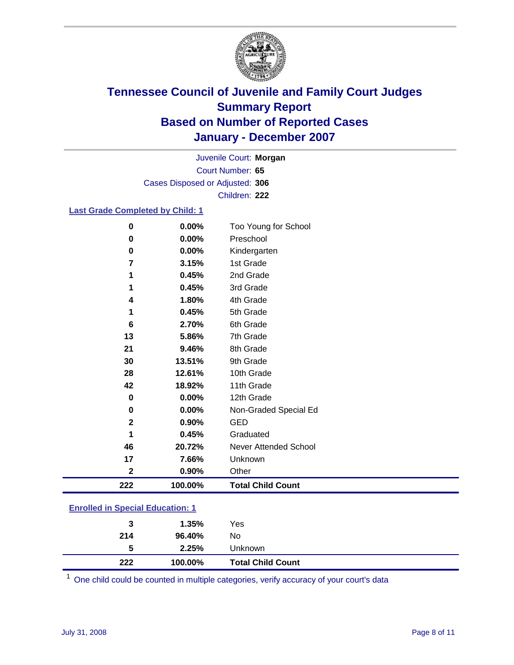

Court Number: **65** Juvenile Court: **Morgan** Cases Disposed or Adjusted: **306** Children: **222**

### **Last Grade Completed by Child: 1**

| 222          | 100.00% | <b>Total Child Count</b> |
|--------------|---------|--------------------------|
| $\mathbf 2$  | 0.90%   | Other                    |
| 17           | 7.66%   | Unknown                  |
| 46           | 20.72%  | Never Attended School    |
| 1            | 0.45%   | Graduated                |
| $\mathbf{2}$ | 0.90%   | <b>GED</b>               |
| $\bf{0}$     | 0.00%   | Non-Graded Special Ed    |
| $\bf{0}$     | 0.00%   | 12th Grade               |
| 42           | 18.92%  | 11th Grade               |
| 28           | 12.61%  | 10th Grade               |
| 30           | 13.51%  | 9th Grade                |
| 21           | 9.46%   | 8th Grade                |
| 13           | 5.86%   | 7th Grade                |
| 6            | 2.70%   | 6th Grade                |
| 1            | 0.45%   | 5th Grade                |
| 4            | 1.80%   | 4th Grade                |
| 1            | 0.45%   | 3rd Grade                |
| 1            | 0.45%   | 2nd Grade                |
| 7            | 3.15%   | 1st Grade                |
| 0            | 0.00%   | Kindergarten             |
| 0            | 0.00%   | Preschool                |
| $\bf{0}$     | 0.00%   | Too Young for School     |

### **Enrolled in Special Education: 1**

| 222 | 100.00% | <b>Total Child Count</b> |  |
|-----|---------|--------------------------|--|
| 5   | 2.25%   | Unknown                  |  |
| 214 | 96.40%  | No                       |  |
| 3   | 1.35%   | Yes                      |  |
|     |         |                          |  |

<sup>1</sup> One child could be counted in multiple categories, verify accuracy of your court's data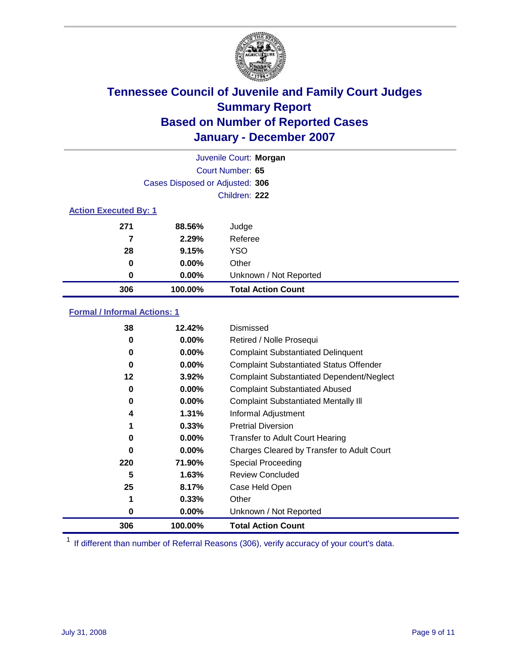

| Juvenile Court: Morgan       |                                 |                           |  |  |
|------------------------------|---------------------------------|---------------------------|--|--|
|                              | Court Number: 65                |                           |  |  |
|                              | Cases Disposed or Adjusted: 306 |                           |  |  |
|                              |                                 | Children: 222             |  |  |
| <b>Action Executed By: 1</b> |                                 |                           |  |  |
| 271                          | 88.56%                          | Judge                     |  |  |
| 7                            | 2.29%                           | Referee                   |  |  |
| 28                           | 9.15%                           | <b>YSO</b>                |  |  |
| 0                            | $0.00\%$                        | Other                     |  |  |
| 0                            | $0.00\%$                        | Unknown / Not Reported    |  |  |
| 306                          | 100.00%                         | <b>Total Action Count</b> |  |  |

### **Formal / Informal Actions: 1**

| 38  | 12.42%   | Dismissed                                        |
|-----|----------|--------------------------------------------------|
| 0   | $0.00\%$ | Retired / Nolle Prosequi                         |
| 0   | $0.00\%$ | <b>Complaint Substantiated Delinquent</b>        |
| 0   | $0.00\%$ | <b>Complaint Substantiated Status Offender</b>   |
| 12  | 3.92%    | <b>Complaint Substantiated Dependent/Neglect</b> |
| 0   | $0.00\%$ | <b>Complaint Substantiated Abused</b>            |
| 0   | $0.00\%$ | <b>Complaint Substantiated Mentally III</b>      |
| 4   | 1.31%    | Informal Adjustment                              |
| 1   | 0.33%    | <b>Pretrial Diversion</b>                        |
| 0   | $0.00\%$ | <b>Transfer to Adult Court Hearing</b>           |
| 0   | $0.00\%$ | Charges Cleared by Transfer to Adult Court       |
| 220 | 71.90%   | Special Proceeding                               |
| 5   | 1.63%    | <b>Review Concluded</b>                          |
| 25  | 8.17%    | Case Held Open                                   |
| 1   | 0.33%    | Other                                            |
| 0   | 0.00%    | Unknown / Not Reported                           |
| 306 | 100.00%  | <b>Total Action Count</b>                        |

<sup>1</sup> If different than number of Referral Reasons (306), verify accuracy of your court's data.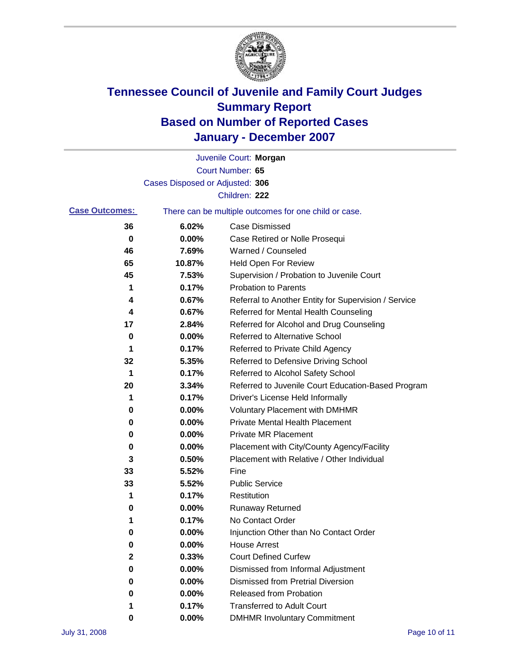

|                       |                                 | Juvenile Court: Morgan                                |
|-----------------------|---------------------------------|-------------------------------------------------------|
|                       |                                 | Court Number: 65                                      |
|                       | Cases Disposed or Adjusted: 306 |                                                       |
|                       |                                 | Children: 222                                         |
| <b>Case Outcomes:</b> |                                 | There can be multiple outcomes for one child or case. |
| 36                    | 6.02%                           | <b>Case Dismissed</b>                                 |
| 0                     | 0.00%                           | Case Retired or Nolle Prosequi                        |
| 46                    | 7.69%                           | Warned / Counseled                                    |
| 65                    | 10.87%                          | Held Open For Review                                  |
| 45                    | 7.53%                           | Supervision / Probation to Juvenile Court             |
| 1                     | 0.17%                           | <b>Probation to Parents</b>                           |
| 4                     | 0.67%                           | Referral to Another Entity for Supervision / Service  |
| 4                     | 0.67%                           | Referred for Mental Health Counseling                 |
| 17                    | 2.84%                           | Referred for Alcohol and Drug Counseling              |
| 0                     | 0.00%                           | <b>Referred to Alternative School</b>                 |
| 1                     | 0.17%                           | Referred to Private Child Agency                      |
| 32                    | 5.35%                           | Referred to Defensive Driving School                  |
| 1                     | 0.17%                           | Referred to Alcohol Safety School                     |
| 20                    | 3.34%                           | Referred to Juvenile Court Education-Based Program    |
| 1                     | 0.17%                           | Driver's License Held Informally                      |
| 0                     | 0.00%                           | <b>Voluntary Placement with DMHMR</b>                 |
| 0                     | 0.00%                           | <b>Private Mental Health Placement</b>                |
| 0                     | 0.00%                           | <b>Private MR Placement</b>                           |
| 0                     | 0.00%                           | Placement with City/County Agency/Facility            |
| 3                     | 0.50%                           | Placement with Relative / Other Individual            |
| 33                    | 5.52%                           | Fine                                                  |
| 33                    | 5.52%                           | <b>Public Service</b>                                 |
| 1                     | 0.17%                           | Restitution                                           |
| 0                     | 0.00%                           | <b>Runaway Returned</b>                               |
| 1                     | 0.17%                           | No Contact Order                                      |
| $\bf{0}$              | $0.00\%$                        | Injunction Other than No Contact Order                |
| 0                     | 0.00%                           | <b>House Arrest</b>                                   |
| 2                     | 0.33%                           | <b>Court Defined Curfew</b>                           |
| 0                     | 0.00%                           | Dismissed from Informal Adjustment                    |
| 0                     | 0.00%                           | <b>Dismissed from Pretrial Diversion</b>              |
| 0                     | 0.00%                           | <b>Released from Probation</b>                        |
|                       | 0.17%                           | <b>Transferred to Adult Court</b>                     |
| 0                     | 0.00%                           | <b>DMHMR Involuntary Commitment</b>                   |